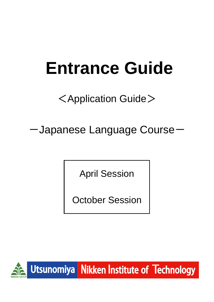# **Entrance Guide**

## <Application Guide>

-Japanese Language Course-

April Session

October Session

 $\overline{\phantom{0}}$ 



Utsunomiya Nikken Institute of Technology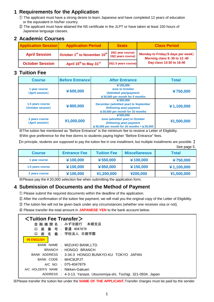## **1 Requirements for the Application**

- ① The applicant must have a strong desire to learn Japanese and have completed 12 years of education or the equivalent in his/her country.
- ② The applicant must have attained the N5 certificate in the JLPT or have taken at least 150 hours of Japanese language classes.

| <b>Application Session</b> | <b>Application Period</b>                            | <b>Seats</b>                            | <b>Class Period</b>                                                   |  |
|----------------------------|------------------------------------------------------|-----------------------------------------|-----------------------------------------------------------------------|--|
| <b>April Session</b>       | October 1 <sup>st</sup> to November 15 <sup>th</sup> | 20(1 year course)<br>15(2 years course) | Monday to Friday (5 days per week)<br>Morning class $9:30$ to $12:40$ |  |
| <b>October Session</b>     | April 15 <sup>th</sup> to May 31 <sup>st</sup>       | 20(1.5 years course)                    | Day class 13:30 to 16:40                                              |  |

## **2 Academic Courses**

## **3 Tuition Fee**

| <b>Course</b>                         | <b>Before Entrance</b> | <b>After Entrance</b>                                                                                                 | <b>Total</b> |
|---------------------------------------|------------------------|-----------------------------------------------------------------------------------------------------------------------|--------------|
| 1 year course<br>(April session)      | ¥ 600,000              | ¥150,000<br><b>June to October</b><br>(Admitted year)payment<br>¥30,000 per month for 5 months                        | ¥750,000     |
| 1.5 years course<br>(October session) | ¥ 800,000              | ¥300,000<br>December (admitted year) to September<br>(following year) payment<br>$430,000$ per month for 10 months    | ¥1,100,000   |
| 2 years course<br>(April session)     | ¥1,000,000             | ¥ 500,000<br>June (admitted year) to October<br>(following year) payment<br>¥30,000 per month for 16 months + ¥20,000 | ¥1,500,000   |

※The tuition fee mentioned as "Before Entrance" is the minimum fee to receive a Letter of Eligibility. ※We give preference for the free dorms to students paying higher "Before Entrance" fees.

【In principle, students are supposed to pay the tuition fee in one installment, but multiple installments are possible. 】 See page 5.

| <b>Course</b>    | <b>Entrance Fee</b> | <b>Tuition Fee</b> | <b>Miscellaneous</b> | <b>Total</b> |
|------------------|---------------------|--------------------|----------------------|--------------|
| 1 year course    | ¥100,000            | ¥550,000           | ¥100,000             | ¥750,000     |
| 1.5 years course | ¥100,000            | ¥850,000           | ¥150,000             | ¥1,100,000   |
| 2 years course   | ¥100,000            | ¥1,200,000         | ¥200,000             | ¥1,500,000   |

※Please pay the¥20,000 selection fee when submitting the application form.

## **4 Submission of Documents and the Method of Payment**

① Please submit the required documents within the deadline of the application.

- ② After the confirmation of the tuition fee payment, we will mail you the original copy of the Letter of Eligibility.
- ③ The tuition fee will not be given back under any circumstances (whether one receives visa or not).
- ④ Please transfer the total amount in **JAPANESE YEN** to the bank account below.

## <**Tuition Fee Transfer**>

|                                   |  | 金融機 関 名 : みずほ銀行 本郷支店                                               |  |  |
|-----------------------------------|--|--------------------------------------------------------------------|--|--|
| 口.                                |  | 座 番 号 : 普通 4047879                                                 |  |  |
|                                   |  | 口 座 名 義 : 学校法人 日建学園                                                |  |  |
| <b>IN ENGLISH</b>                 |  |                                                                    |  |  |
|                                   |  | BANK NAME : MIZUHO BANK, LTD.                                      |  |  |
|                                   |  | BRANCH : HONGO BRANCH                                              |  |  |
|                                   |  | BANK ADDRESS : 3-34-3 HONGO BUNKYO-KU TOKYO JAPAN                  |  |  |
| BANK CODE : MHCBJPJT              |  |                                                                    |  |  |
|                                   |  | A/C NO. 075-4047879                                                |  |  |
| A/C HOLDER'S NAME : Nikken-Gakuen |  |                                                                    |  |  |
|                                   |  | ADDRESS : 4-3-13, Yanaze, Utsunomiya-shi, Tochigi, 321-0934, Japan |  |  |
|                                   |  |                                                                    |  |  |

※Please transfer the tuition fee under the **NAME OF THE APPLICANT.**Transfer charges must be paid by the sender.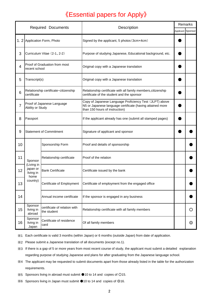## 《Essential papers for Apply》

| <b>Required Documents</b> |                                                                    |                                                                        | Description                                                                                                                                            |  | Remarks           |  |
|---------------------------|--------------------------------------------------------------------|------------------------------------------------------------------------|--------------------------------------------------------------------------------------------------------------------------------------------------------|--|-------------------|--|
|                           |                                                                    |                                                                        |                                                                                                                                                        |  | Applicant Sponsor |  |
|                           | 1. 2 Application Form, Photo                                       |                                                                        | Signed by the applicant, 5 photos (3cmx4cm)                                                                                                            |  |                   |  |
| 3                         | Curriculum Vitae (2-1, 2-2)                                        |                                                                        | Purpose of studying Japanese, Educational background, etc.                                                                                             |  |                   |  |
| 4                         | Proof of Graduation from most<br>recent school                     |                                                                        | Original copy with a Japanese translation                                                                                                              |  |                   |  |
| 5<br>6                    | Transcript(s)                                                      |                                                                        | Original copy with a Japanese translation                                                                                                              |  |                   |  |
|                           | Relationship certificate citizenship<br>certificate                |                                                                        | Relationship certificate with all family members, citizenship<br>certificate of the student and the sponsor                                            |  |                   |  |
| $\overline{7}$            | Proof of Japanese Language<br>Ability or Study                     |                                                                        | Copy of Japanese Language Proficiency Test (JLPT) above<br>N5 or Japanese language certificate (having attained more<br>than 150 hours of instruction) |  |                   |  |
| 8                         | Passport                                                           |                                                                        | If the applicant already has one (submit all stamped pages)                                                                                            |  |                   |  |
| 9                         | <b>Statement of Commitment</b>                                     |                                                                        | Signature of applicant and sponsor                                                                                                                     |  |                   |  |
| 10                        |                                                                    | Sponsorship Form                                                       | Proof and details of sponsorship                                                                                                                       |  |                   |  |
| 11                        | Sponsor<br>(Living in<br>japan or<br>living in<br>home<br>country) | Relationship certificate                                               | Proof of the relation                                                                                                                                  |  |                   |  |
| 12                        |                                                                    | <b>Bank Certificate</b>                                                | Certificate issued by the bank                                                                                                                         |  |                   |  |
| 13                        |                                                                    | Certificate of Employment                                              | Certificate of employment from the engaged office                                                                                                      |  |                   |  |
| 14                        |                                                                    | Annual income certificate<br>If the sponsor is engaged in any business |                                                                                                                                                        |  |                   |  |
| 15                        | Sponsor<br>living in<br>abroad                                     | certificate of relation with<br>the student                            | Relationship certificate with all family members                                                                                                       |  | O                 |  |
| 16                        | Sponsor<br>living in<br>Japan                                      | Certificate of residence<br>card                                       | Of all family members                                                                                                                                  |  | ⊚                 |  |

※1 Each certificate is valid 3 months (within Japan) or 6 months (outside Japan) from date of application.

※2 Please submit a Japanese translation of all documents (except no.1).

※3 If there is a gap of 5 or more years from most recent course of study, the applicant must submit a detailed explanation regarding purpose of studying Japanese and plans for after graduating from the Japanese language school.

- ※4 The applicant may be requested to submit documents apart from those already listed in the table for the authorization requirements.
- ※5 Sponsors living in abroad must submit ●10 to 14 and copies of ○15.
- ※6 Sponsors living in Japan must submit ●10 to 14 and copies of ◎16.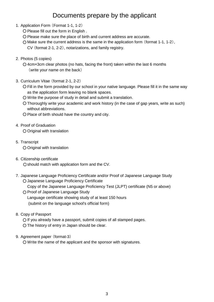## Documents prepare by the applicant

- 1.Application Form (Format 1-1, 1-2)
	- Please fill out the form in English .
	- Please make sure the place of birth and current address are accurate.
	- Make sure the current address is the same in the application form (format 1-1, 1-2),
		- CV (format 2-1, 2-2), notarizations, and family registry.
- 2.Photos (5 copies)

○ 4cm×3cm clear photos (no hats, facing the front) taken within the last 6 months (write your name on the back)

- 3.Curriculum Vitae (format 2-1, 2-2)
	- Fill in the form provided by our school in your native language. Please fill it in the same way as the application form leaving no blank spaces.
	- Write the purpose of study in detail and submit a translation.
	- Thoroughly write your academic and work history (in the case of gap years, write as such) without abbreviations.
	- Place of birth should have the country and city.
- 4.Proof of Graduation

○ Original with translation

5.Transcript

○ Original with translation

- 6.Citizenship certificate ○should match with application form and the CV.
- 7.Japanese Language Proficiency Certificate and/or Proof of Japanese Language Study ○ Japanese Language Proficiency Certificate

O Proof of Japanese Language Study Copy of the Japanese Language Proficiency Test (JLPT) certificate (N5 or above)

 (submit on the language school's official form) Language certificate showing study of at least 150 hours

8.Copy of Passport

○ If you already have a passport, submit copies of all stamped pages. ○ The history of entry in Japan should be clear.

## 9.Agreement paper (format-3)

○ Write the name of the applicant and the sponsor with signatures.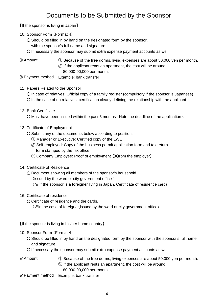## Documents to be Submitted by the Sponsor

【If the sponsor is living in Japan】

- 10. Sponsor Form (Format 4)
	- Should be filled in by hand on the designated form by the sponsor.
		- with the sponsor's full name and signature.
	- If necessary the sponsor may submit extra expense payment accounts as well.
- ※Amount
- : ① Because of the free dorms, living expenses are about 50,000 yen per month. ② If the applicant rents an apartment, the cost will be around 80,000-90,000 per month.

※Payment method: Example: bank transfer

- 11. Papers Related to the Sponsor
	- In case of relatives: Official copy of a family register (compulsory if the sponsor is Japanese) ○ In the case of no relatives: certification clearly defining the relationship with the applicant
- 12. Bank Certificate

○ Must have been issued within the past 3 months (Note the deadline of the application).

- 13. Certificate of Employment
	- Submit any of the documents below according to position:
		- ① Manager or Executive: Certified copy of the LW1
		- ② Self-employed: Copy of the business permit application form and tax return form stamped by the tax office
		- ③ Company Employee: Proof of employment (※from the employer)
- 14.Certificate of Residence

○ Document showing all members of the sponsor's household.

(issued by the ward or city government office )

- (※ If the sponsor is a foreigner living in Japan, Certificate of residence card)
- 16.Certificate of residence
	- Certificate of residence and the cards.

(※in the case of foreigner,issued by the ward or city government office)

【If the sponsor is living in his/her home country】

## 10. Sponsor Form (Format 4)

- Should be filled in by hand on the designated form by the sponsor with the sponsor's full name and signature.
- If necessary the sponsor may submit extra expense payment accounts as well.

## ※Amount

: ① Because of the free dorms, living expenses are about 50,000 yen per month. ② If the applicant rents an apartment, the cost will be around 80,000-90,000 per month.

※Payment method : Example: bank transfer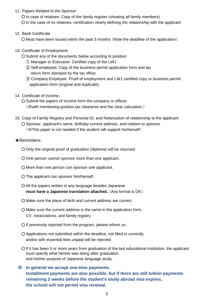11. Papers Related to the Sponsor

○ In case of relatives: Copy of the family register (showing all family members) ○ In the case of no relatives: certification clearly defining the relationship with the applicant

12. Bank Certificate

○ Must have been issued within the past 3 months (Note the deadline of the application).

- 13.Certificate of Employment:
	- Submit any of the documents below according to position:
		- ① Manager or Executive: Certified copy of the LW1
		- ② Self-employed: Copy of the business permit application form and tax return form stamped by the tax office.
		- ③ Company Employee: Proof of employment and LW1 certified copy or business permit application form (original and duplicate).
- 14.Certificate of Income:
	- Submit the papers of income form the company or offices (※with mentioning position,tax clearance and the clear calcuation.)
- Sponsor, applicant's name, birthday current address, and relation to sponsor (※This paper is not needed if the student will support his/herself) 15.Copy of Family Registry and Personal ID, and Notarization of relationship to the applicant

## ★Reminders:

- Only the original proof of graduation (diploma) will be returned.
- One person cannot sponsor more than one applicant.
- More than one person can sponsor one applicant.
- The applicant can sponsor him/herself.
- All the papers written in any language besides Japanese **must have a Japanese translation attached.** (Any format is OK)
- Make sure the place of birth and current address are correct.
- Make sure the current address is the same in the application form, CV, notarizations, and family registry.
- If previously rejected from the program, please inform us.
- Applications not submitted within the deadline, not filled in correctly, and/or with essential fees unpaid will be rejected
- If it has been 5 or more years from graduation of the last educational institution, the applicant and his/her purpose of Japanese language study. must specify what he/she was doing after graduation.
- **In general we accept one-time payments.**  ※ **Installment payments are also possible, but if there are still tuition payments remaining 2 weeks before the student's study abroad visa expires, the school will not permit visa renewal.**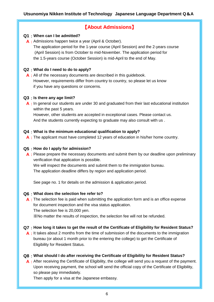## 【**About Admissions**】

## **Q1** : **When can I be admitted?**

**A** : Admissions happen twice a year (April & October). The application period for the 1-year course (April Session) and the 2-years course (April Session) is from October to mid-November. The application period for the 1.5-years course (October Session) is mid-April to the end of May.

## **Q2** : **What do I need to do to apply?**

A: All of the necessary documents are described in this guidebook. if you have any questions or concerns. However, requirements differ from country to country, so please let us know

## **Q3** : **Is there any age limit?**

**A** : In general our students are under 30 and graduated from their last educational institution within the past 5 years.

And the students currently expecting to graduate may also consult with us . However, other students are accepted in exceptional cases. Please contact us.

## **Q4** : **What is the minimum educational qualification to apply?**

A: The applicant must have completed 12 years of education in his/her home country.

## **Q5** : **How do I apply for admission?**

A : Please prepare the necessary documents and submit them by our deadline upon preliminary verification that application is possible. We will inspect the documents and submit them to the immigration bureau.

The application deadline differs by region and application period.

See page no. 1 for details on the admission & application period.

## **Q6** : **What does the selection fee refer to?**

A : The selection fee is paid when submitting the application form and is an office expense for document inspection and the visa status application. The selection fee is 20,000 yen.

※No matter the results of inspection, the selection fee will not be refunded.

## **Q7** : **How long it takes to get the result of the Certificate of Eligibility for Resident Status?**

A : It takes about 2 months from the time of submission of the documents to the immigration Eligibility for Resident Status. bureau (or about 1 month prior to the entering the college) to get the Certificate of

## **Q8** : **What should I do after receiving the Certificate of Eligibility for Resident Status?**

A: After receiving the Certificate of Eligibility, the college will send you a request of the payment. Upon receiving payment, the school will send the official copy of the Certificate of Eligibility, so please pay immediately.

Then apply for a visa at the Japanese embassy.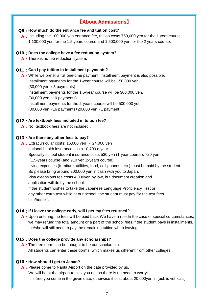## 【**About Admissions**】

## **Q9** : **How much do the entrance fee and tuition cost?**

A: Including the 100,000 yen entrance fee, tuition costs 750,000 yen for the 1 year course, 1,100,000 yen for the 1.5 years course and 1,500,000 yen for the 2 years course.

## **Q10** : **Does the college have a fee reduction system?**

**A** : There is no fee reduction system.

## **Q11** : **Can I pay tuition in installment payments?**

**A** : While we prefer a full one-time payment, installment payment is also possible. (30,000 yen ×16 payments+20,000 yen ×1 payment) Installment payments for the 2-years course will be 500,000 yen. Installment payments for the 1.5-year course will be 300,000 yen. Installment payments for the 1-year course will be 150,000 yen. (30,000 yen x 5 payments) (30,000 yen ×10 payments)

## **Q12** : **Are textbook fees included in tuition fee?**

**A** : No, textbook fees are not included .

## **Q13** : **Are there any other fees to pay?**

**A** : Extracurricular costs: 16,000 yen  $\sim$  24,000 yen national health insurance costs 10,700 a year Specialty school student insurance costs 530 yen (1-year course), 720 yen (1.5-years course) and 910 yen(2-years course) Living expenses (furniture, utilities, food, cell phones, etc.) must be paid by the student. So please bring around 200,000 yen in cash with you to Japan. Visa extensions fee costs 4,000yen by law, but document creation and application will do by the school. If the student wishes to take the Japanese Language Proficiency Test or any other extra test while at our school, the student must pay for the test fees him/herself.

## **Q14** : **If I leave the college early, will I get my fees returned?**

**A** : Upon entering, no fees will be paid back.We have a rule.In the case of special curcumstances, we may refund the total amount or a part of the school fees.If the student pays in installments, he/she will still need to pay the remaining tuition when leaving.

## **Q15** : **Does the college provide any scholarships?**

**A** : The free dorm can be thought to be our scholarship. All students can enter these dorms, which makes us different from other colleges.

## **Q16** : **How should I get to Japan?**

**A** : Please come to Narita Airport on the date provided by us. We will be at the airport to pick you up, so there is no need to worry! It is free you come in the given date, otherwise it cost about 20,000yen in [public vehicals].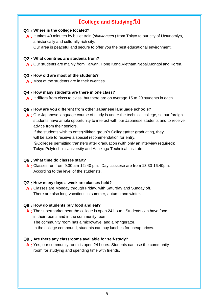## 【**College and Studying**①】

## **Q1** : **Where is the college located?**

**A** : It takes 40 minutes by bullet train (*shinkansen* ) from Tokyo to our city of Utsunomiya, a historically and culturally rich city.

Our area is peaceful and secure to offer you the best educational environment.

#### **Q2** : **What countries are students from?**

**A** : Our students are mainly from Taiwan, Hong Kong,Vietnam,Nepal,Mongol and Korea.

## **Q3** : **How old are most of the students?**

A : Most of the students are in their twenties.

#### **Q4** : **How many students are there in one class?**

A: It differs from class to class, but there are on average 15 to 20 students in each.

#### **Q5** : **How are you different from other Japanese language schools?**

A: Our Japanese language course of study is under the technical college, so our foreign students have ample opportunity to interact with our Japanese students and to receive advice from their seniors.

If the students wish to enter(Nikken group`s College)after graduating, they will be able to receive a special recommendation for entry.

※Colleges permitting transfers after graduation (with only an interview required): Tokyo Polytechnic University and Ashikaga Technical Institute.

#### **Q6** : **What time do classes start?**

**A** : Classes run from 9:30 am-12:40 pm. Day classese are from 13:30-16:40pm. According to the level of the studensts.

#### **Q7** : **How many days a week are classes held?**

**A** : Classes are Monday through Friday, with Saturday and Sunday off. There are also long vacations in summer, autumn and winter.

## **Q8** : **How do students buy food and eat?**

A: The supermarket near the college is open 24 hours. Students can have food in their rooms and in the community room.

The community room has a microwave, and a refrigerator.

In the college compound, students can buy lunches for cheap prices.

#### **Q9** : **Are there any classrooms available for self-study?**

A: Yes, our community room is open 24 hours. Students can use the community room for studying and spending time with friends.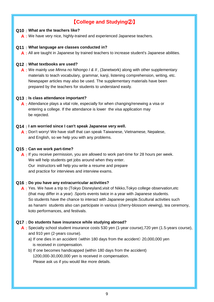## 【**College and Studying**②】

## **Q10** : **What are the teachers like?**

A: We have very nice, highly-trained and experienced Japanese teachers.

## **Q11** : **What language are classes conducted in?**

A : All are taught in Japanese by trained teachers to increase student's Japanese abilities.

## **Q12** : **What textbooks are used?**

**A** : We mainly use *Minna no Nihongo I & II* , (3anetwork) along with other supplementary materials to teach vocabulary, grammar, kanji, listening comprehension, writing, etc. prepared by the teachers for students to understand easily. Newspaper articles may also be used. The supplementary materials have been

## **Q13** : **Is class attendance important?**

A: Attendance plays a vital role, especially for when changing/renewing a visa or entering a college. If the attendance is lower the visa application may be rejected.

## **Q14** : **I am worried since I can't speak Japanese very well.**

**A** : Don't worry! We have staff that can speak Taiwanese, Vietnamese, Nepalese, and English, so we help you with any problems.

#### **Q15** : **Can we work part-time?**

**A** : If you receive permission, you are allowed to work part-time for 28 hours per week. We will help students get jobs around when they enter. Our instructors will help you write a resume and prepare and practice for interviews and interview exams.

## **Q16** : **Do you have any extracurricular activities?**

**A** : Yes. We have a trip to (Tokyo Disneyland,visit of Nikko,Tokyo college observation,etc koto performances, and festivals. as hanami students also can participate in various (cherry-blossom viewing), tea ceremony, (that may differ in a year) .Sports events twice in a year with Japanese students. So students have the chance to interact with Japanese people.Scultural activities such

## **Q17** : **Do students have insurance while studying abroad?**

- **A** : Specialty school student insurance costs 530 yen (1-year course),720 yen (1.5-years course), and 910 yen (2-years course).
	- a) If one dies in an accident (within 180 days from the accident) 20,000,000 yen is received in compensation.
	- b) If one becomes handicapped (within 180 days from the accident) 1200,000-30,000,000 yen is received in compensation. Please ask us if you would like more details.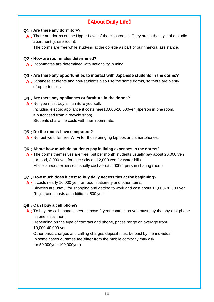## 【**About Daily Life**】

## **Q1** : **Are there any dormitory?**

A : There are dorms on the Upper Level of the classrooms. They are in the style of a studio apartment (share room).

The dorms are free while studying at the college as part of our financial assistance.

## **Q2** : **How are roommates determined?**

**A** : Roommates are determined with nationality in mind.

## **Q3** : **Are there any opportunities to interact with Japanese students in the dorms?**

A : Japanese students and non-students also use the same dorms, so there are plenty of opportunities.

## **Q4** : **Are there any appliances or furniture in the dorms?**

**A** : No, you must buy all furniture yourself. if purchased from a recycle shop). Including electric appliance it costs near10,000-20,000yen(4person in one room, Students share the costs with their roommate.

## **Q5** : **Do the rooms have computers?**

A: No, but we offer free Wi-Fi for those bringing laptops and smartphones.

## **Q6** : **About how much do students pay in living expenses in the dorms?**

A : The dorms themselves are free, but per month students usually pay about 20,000 yen for food, 3,000 yen for electricity and 2,000 yen for water bills. Miscellaneous expenses usually cost about 5,000(4 person sharing room).

## **Q7** : **How much does it cost to buy daily necessities at the beginning?**

A: It costs nearly 10,000 yen for food, stationery and other items. Bicycles are useful for shopping and getting to work and cost about 11,000-30,000 yen. Registration costs an additional 500 yen.

## **Q8** : **Can I buy a cell phone?**

A : To buy the cell phone it needs above 2-year contract so you must buy the physical phone in one installment.

19,000-40,000 yen. Depending on the type of contract and phone, prices range on average from

Other basic charges and calling charges deposit must be paid by the individual. In some cases gurantee fee(differ from the mobile company may ask for 50,000yen-100,000yen)